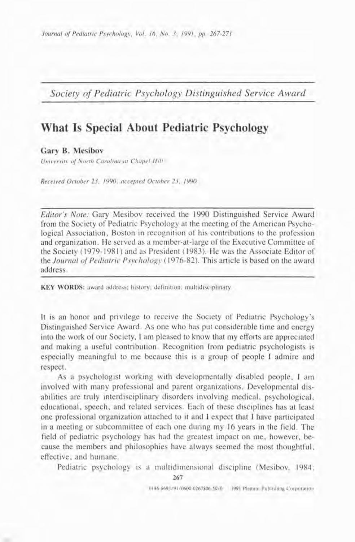*Journal of Pediatric Psychology, Vol. 16, No. 3, 1991, pp. 267-271* 

*Society of Pediatric Psychology Distinguished Service Award* 

# **What Is Special About Pediatric Psychology**

## **Gary B. Mesibov**

*University of North Carolina at Chapel Hill* 

*Received October 23. 1990: accepted October 23. 1990* 

*Editor's Note:* Gary Mesibov received the 1990 Distinguished Service Award from the Society of Pediatric Psychology at the meeting of the American Psychological Association, Boston in recognition of his contributions to the profession and organization. He served as a member-at-large of the Executive Committee of the Society ( 1979- 198 I) and as President ( 1983). He was the Associate Editor of the *Journal of Pediatric Psychology* (1976-82). This article is based on the award address.

KEY WORDS: award address; history; definition; multidisciplinary.

It is an honor and privilege to receive the Society of Pediatric Psychology's Distinguished Service Award. As one who has put considerable time and energy into the work of our Society, I am pleased to know that my efforts are appreciated and making a useful contribution. Recognition from pediatric psychologists is especially meaningful to me because this is a group of people I admire and respect.

As a psychologist working with developmentally disabled people, I am involved with many professional and parent organizations. Developmental disabilities are truly interdisciplinary disorders involving medical, psychological, educational, speech, and related services. Each of these disciplines has at least one professional organization attached to it and I expect that I have participated in a meeting or subcommittee of each one during my 16 years in the field. The field of pediatric psychology has had the greatest impact on me, however, because the members and philosophies have always seemed the most thoughtful, effective, and humane.

Pediatric psychology is a multidimensional discipline (Mesibov, 1984:

**267** 

0146-8693/9I/0600-0267\$06-50/0 **1991 Plenum Publishing Corporation**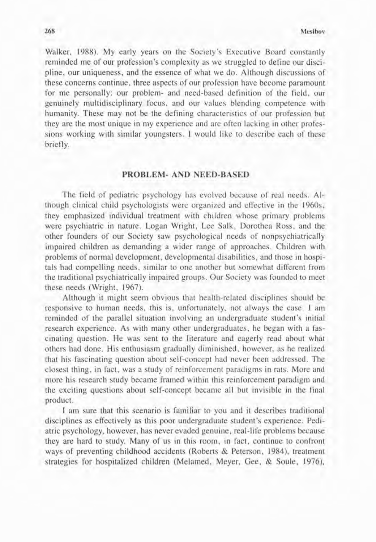Walker, 1988). My early years on the Society's Executive Board constantly reminded me of our profession's complexity as we struggled to define our discipline, our uniqueness, and the essence of what we do. Although discussions of these concerns continue, three aspects of our profession have become paramount for me personally: our problem- and need-based definition of the field, our genuinely multidisciplinary focus, and our values blending competence with humanity. These may not be the defining characteristics of our profession but they are the most unique in my experience and are often lacking in other professions working with similar youngsters. I would like to describe each of these briefly.

### **PROBLEM- AND NEED-BASED**

The field of pediatric psychology has evolved because of real needs. Although clinical child psychologists werc organized and effective in the 1960s, they emphasized individual treatment with children whose primary problems were psychiatric in nature. Logan Wright, Lee Salk, Dorothea Ross, and the other founders of our Society saw psychological needs of nonpsychiatrically impaired children as demanding a wider range of approaches. Children with problems of normal development, developmental disabilities, and those in hospitals had compelling needs, similar to one another but somewhat different from the traditional psychiatrically impaired groups. Our Society was founded to meet these needs (Wright, 1967).

Although it might seem obvious that health-related disciplines should be responsive to human needs, this is, unfortunately, not always the case. I ain reminded of the parallel situation involving an undergraduate student's initial research experience. **As** with many other undergraduates, he began with a fascinating question. He was sent to the literature and eagerly read about what others had done. His enthusiasm gradually diminished, however, as he realized that his fascinating question about self-concept had never been addressed. The closest thing, in fact, was a study of reinforcement paradigms in rats. More and more his research study became framed within this reinforcement paradigm and the exciting questions about self-concept became all but invisible in the final product.

**1** am sure that this scenario is familiar to you and it describes traditional disciplines as effectively as this poor undergraduate student's experience. Pediatric psychology, however, has never evaded genuine, real-life problems because they are hard to study. Many of us in this room, in fact, continue to confront ways of preventing childhood accidents (Roberts & Peterson, 1984), treatment strategies for hospitalized children (Melamed, Meyer, Gee, & Soule, 1976),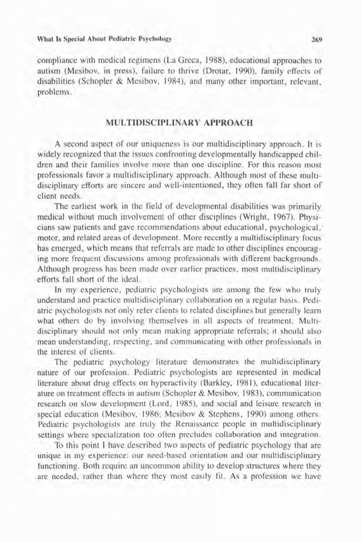#### **What Is Special About Pediatric Psychology 269**

compliance with medical regimens (La Greca, 1988), educational approaches to autism (Mesibov, in press), failure to thrive (Drotar. 1990). family effects of disabilities (Schopler & Mesibov, 1984), and many other important, relevant, problems.

# **MULTIDISCIPLINARY APPROACH**

A second aspect of our uniqueness is our multidisciplinary approach. It is widely recognized that the issues confronting developmentally handicapped children and their families involve more than one discipline. For this reason most professionals favor a multidisciplinary approach. Although most of these multidisciplinary efforts are sincere and well-intentioned, they often fall far short of client needs.

The earliest work in the field of developmental disabilities was primarily medical without much involvement of other disciplines (Wright, 1967). Physicians saw patients and gave recommendations about educational, psychological, motor, and related areas of development. More recently a multidisciplinary focus has emerged, which means that referrals are made to other disciplines encouraging more frequent discussions among professionals with different backgrounds. Although progress has been made over earlier practices, most multidisciplinary efforts fall short of the ideal.

In my experience, pediatric psychologists are among the few who truly understand and practice multidisciplinary collaboration on a regular basis. Pediatric psychologists not only refer clients to related disciplines but generally learn what others do by involving themselves in all aspects of treatment. Multidisciplinary should not only mean making appropriate referrals; it should also mean understanding, respecting, and communicating with other professionals in the interest of clients.

The pediatric psychology literature demonstrates the multidisciplinary nature of our profession. Pediatric psychologists are represented in medical literature about drug effects on hyperactivity (Barkley, 1981), educational literature on treatment effects in autism (Schopler & Mesibov, 1983). communication research on slow development (Lord, 1985), and social and leisure research in special education (Mesibov, 1986; Mesibov & Stephens, 1990) among others. Pediatric psychologists are truly the Renaissance people in multidisciplinary settings where specialization too often precludes collaboration and integration.

To this point I have described two aspects of pediatric psychology that are unique in my experience: our need-based orientation and our multidisciplinary functioning. Both require an uncommon ability to develop structures where they are needed, rather than where they most easlly fit. As a profession we have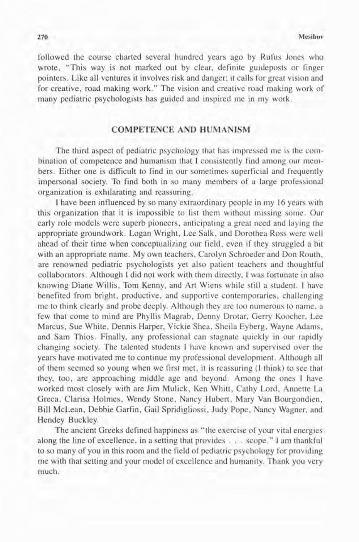followed the course charted several hundred years ago by Rufus Jones who wrote, "This way is not marked out by clear, definite guideposts or finger pointers. Like all ventures it involves risk and danger; it calls for great vision and for creative, road making work." The vision and creative road making work of many pediatric psychologists has guided and inspired me in my work.

## **COMPETENCE AND HUMANISM**

The third aspect of pediatric psychology that has impressed me is the combination of competence and humanism that I consistently find among our members. Either one is difficult to find in our sometimes superficial and frequently impersonal society. To find both in so many members of a large professional organization is exhilarating and reassuring.

1 have been influenced by so many extraordinary people in my 16 years with this organization that it is impossible to list them without missing some. Our early role models were superb pioneers, anticipating a great need and laying the appropriate groundwork. Logan Wright, Lee Salk, and Dorothea Ross were well ahead of their time when conceptualizing our field, even if they struggled a bit with an appropriate name. My own teachers, Carolyn Schroeder and Don Routh, are renowned pediatric psychologists yet also patient teachers and thoughtful collaborators. Although I did not work with them directly, I was fortunate in also knowing Diane Willis, Tom Kenny, and Art Wiens while still a student. I have benefited from bright, productive, and supportive contemporaries, challenging me to think clearly and probe deeply. Although they are too numerous to name, a few that come to mind are Phyllis Magrab, Denny Drotar, Gerry Koocher, Lee Marcus, Sue White, Dennis Harper, Vickie Shea, Sheila Ey berg, Wayne Adams, and Sam Thios. Finally, any professional can stagnate quickly in our rapidly changing society. The talented students I have known and supervised over the years have motivated me to continue my professional development. Although all of them seemed so young when we first met, it is reassuring **(1** think) to see that they, too, are approaching middle age and beyond. Among the ones I have worked most closely with are Jim Mulick, Ken Whitt, Cathy Lord, Annette La Greca, Clarisa Holmes, Wendy Stone, Nancy Hubert, Mary Van Bourgondien, Bill McLean, Debbie Garfin, Gail Spridigliossi, Judy Pope, Nancy Wagner, and Hendey Buckley.

The ancient Greeks defined happiness as "the exercise of your vital energies along the line of excellence, in a setting that provides . . . scope." I am thankful to so many of you in this room and the field of pediatric psychology for providing me with that setting and your model of excellence and humanity. Thank you very much.